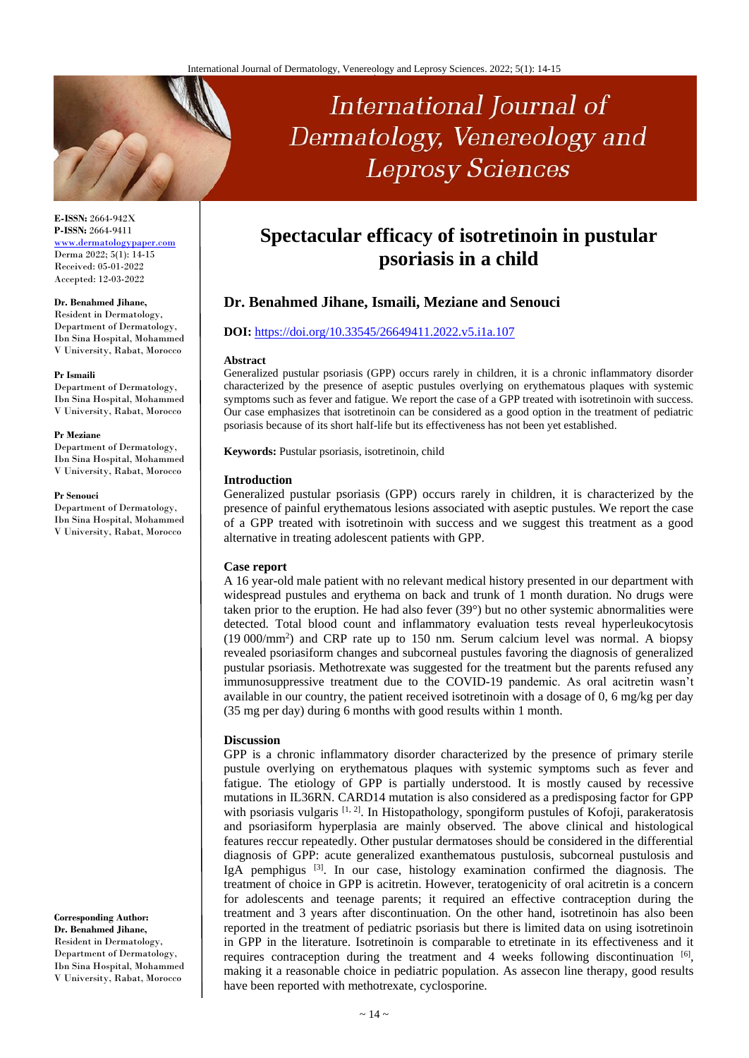

**E-ISSN:** 2664-942X **P-ISSN:** 2664-9411 [www.dermatologypaper.com](http://www.dermatologypaper.com/) Derma 2022; 5(1): 14-15 Received: 05-01-2022 Accepted: 12-03-2022

#### **Dr. Benahmed Jihane,**

Resident in Dermatology, Department of Dermatology, Ibn Sina Hospital, Mohammed V University, Rabat, Morocco

#### **Pr Ismaili**

Department of Dermatology, Ibn Sina Hospital, Mohammed V University, Rabat, Morocco

**Pr Meziane**  Department of Dermatology, Ibn Sina Hospital, Mohammed V University, Rabat, Morocco

#### **Pr Senouci**

Department of Dermatology, Ibn Sina Hospital, Mohammed V University, Rabat, Morocco

**Corresponding Author: Dr. Benahmed Jihane,**  Resident in Dermatology, Department of Dermatology, Ibn Sina Hospital, Mohammed V University, Rabat, Morocco

# **Spectacular efficacy of isotretinoin in pustular psoriasis in a child**

International Journal of

Dermatology, Venereology and

**Leprosy Sciences** 

# **Dr. Benahmed Jihane, Ismaili, Meziane and Senouci**

# **DOI:** <https://doi.org/10.33545/26649411.2022.v5.i1a.107>

#### **Abstract**

Generalized pustular psoriasis (GPP) occurs rarely in children, it is a chronic inflammatory disorder characterized by the presence of aseptic pustules overlying on erythematous plaques with systemic symptoms such as fever and fatigue. We report the case of a GPP treated with isotretinoin with success. Our case emphasizes that isotretinoin can be considered as a good option in the treatment of pediatric psoriasis because of its short half-life but its effectiveness has not been yet established.

**Keywords:** Pustular psoriasis, isotretinoin, child

#### **Introduction**

Generalized pustular psoriasis (GPP) occurs rarely in children, it is characterized by the presence of painful erythematous lesions associated with aseptic pustules. We report the case of a GPP treated with isotretinoin with success and we suggest this treatment as a good alternative in treating adolescent patients with GPP.

## **Case report**

A 16 year-old male patient with no relevant medical history presented in our department with widespread pustules and erythema on back and trunk of 1 month duration. No drugs were taken prior to the eruption. He had also fever (39°) but no other systemic abnormalities were detected. Total blood count and inflammatory evaluation tests reveal hyperleukocytosis (19 000/mm<sup>2</sup> ) and CRP rate up to 150 nm. Serum calcium level was normal. A biopsy revealed psoriasiform changes and subcorneal pustules favoring the diagnosis of generalized pustular psoriasis. Methotrexate was suggested for the treatment but the parents refused any immunosuppressive treatment due to the COVID-19 pandemic. As oral acitretin wasn't available in our country, the patient received isotretinoin with a dosage of 0, 6 mg/kg per day (35 mg per day) during 6 months with good results within 1 month.

## **Discussion**

GPP is a chronic inflammatory disorder characterized by the presence of primary sterile pustule overlying on erythematous plaques with systemic symptoms such as fever and fatigue. The etiology of GPP is partially understood. It is mostly caused by recessive mutations in IL36RN. CARD14 mutation is also considered as a predisposing factor for GPP with psoriasis vulgaris [1, 2]. In Histopathology, spongiform pustules of Kofoji, parakeratosis and psoriasiform hyperplasia are mainly observed. The above clinical and histological features reccur repeatedly. Other pustular dermatoses should be considered in the differential diagnosis of GPP: acute generalized exanthematous pustulosis, subcorneal pustulosis and IgA pemphigus <sup>[3]</sup>. In our case, histology examination confirmed the diagnosis. The treatment of choice in GPP is acitretin. However, teratogenicity of oral acitretin is a concern for adolescents and teenage parents; it required an effective contraception during the treatment and 3 years after discontinuation. On the other hand, isotretinoin has also been reported in the treatment of pediatric psoriasis but there is limited data on using isotretinoin in GPP in the literature. Isotretinoin is comparable to etretinate in its effectiveness and it requires contraception during the treatment and 4 weeks following discontinuation [6], making it a reasonable choice in pediatric population. As assecon line therapy, good results have been reported with methotrexate, cyclosporine.